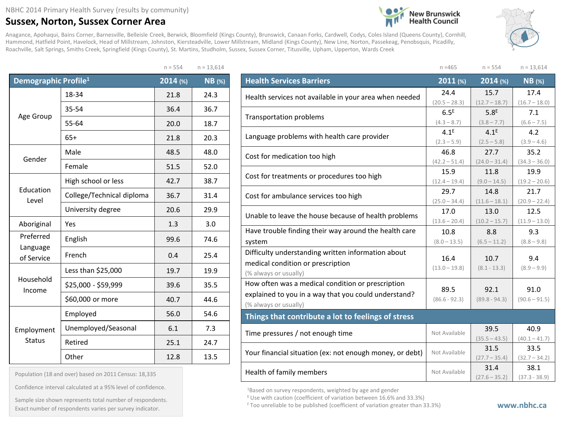## **Sussex, Norton, Sussex Corner Area**

Anagance, Apohaqui, Bains Corner, Barnesville, Belleisle Creek, Berwick, Bloomfield (Kings County), Brunswick, Canaan Forks, Cardwell, Codys, Coles Island (Queens County), Cornhill, Hammond, Hatfield Point, Havelock, Head of Millstream, Johnston, Kiersteadville, Lower Millstream, Midland (Kings County), New Line, Norton, Passekeag, Penobsquis, Picadilly, Roachville, Salt Springs, Smiths Creek, Springfield (Kings County), St. Martins, Studholm, Sussex, Sussex Corner, Titusville, Upham, Upperton, Wards Creek

 $n = 554$   $n = 13.614$ 

| Demographic Profile <sup>1</sup> |                           | 2014 (%) | <b>NB</b> (%) |
|----------------------------------|---------------------------|----------|---------------|
|                                  | 18-34                     | 21.8     | 24.3          |
|                                  | 35-54                     | 36.4     | 36.7          |
| Age Group                        | 55-64                     | 20.0     | 18.7          |
|                                  | $65+$                     | 21.8     | 20.3          |
| Gender                           | Male                      | 48.5     | 48.0          |
|                                  | Female                    | 51.5     | 52.0          |
|                                  | High school or less       | 42.7     | 38.7          |
| Education<br>Level               | College/Technical diploma | 36.7     | 31.4          |
| University degree                |                           | 20.6     | 29.9          |
| Aboriginal                       | Yes                       | 1.3      | 3.0           |
| Preferred                        | English                   |          | 74.6          |
| Language<br>of Service           | French                    | 0.4      | 25.4          |
|                                  | Less than \$25,000        | 19.7     | 19.9          |
| Household<br>Income              | \$25,000 - \$59,999       | 39.6     | 35.5          |
|                                  | \$60,000 or more          | 40.7     | 44.6          |
|                                  | Employed                  | 56.0     | 54.6          |
| Employment                       | Unemployed/Seasonal       | 6.1      | 7.3           |
| <b>Status</b>                    | Retired                   | 25.1     | 24.7          |
|                                  | Other                     | 12.8     | 13.5          |

| Population (18 and over) based on 2011 Census: 18,335 |  |  |  |  |  |  |  |  |
|-------------------------------------------------------|--|--|--|--|--|--|--|--|
|-------------------------------------------------------|--|--|--|--|--|--|--|--|

Confidence interval calculated at a 95% level of confidence.

Exact number of respondents varies per survey indicator. **Exact number of respondents varies per survey** indicator. Sample size shown represents total number of respondents.



<sup>1</sup>Based on survey respondents, weighted by age and gender

E Use with caution (coefficient of variation between 16.6% and 33.3%)



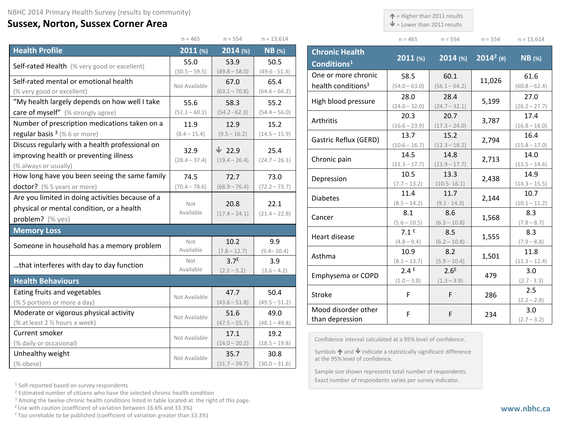## **Sussex, Norton, Sussex Corner Area**

 $\uparrow$  = Higher than 2011 results

 $\mathbf{\Psi}$  = Lower than 2011 results

| $n = 465$ | $n = 554$ | $n = 554$ | $n = 13.614$ |
|-----------|-----------|-----------|--------------|

|                                                  | $n = 465$        | $n = 554$        | $n = 13,614$    |
|--------------------------------------------------|------------------|------------------|-----------------|
| <b>Health Profile</b>                            | 2011 (%)         | 2014 (%)         | $NB$ (%)        |
| Self-rated Health (% very good or excellent)     | 55.0             | 53.9             | 50.5            |
|                                                  | $(50.5 - 59.5)$  | $(49.8 - 58.0)$  | $(49.6 - 51.3)$ |
| Self-rated mental or emotional health            | Not Available    | 67.0             | 65.4            |
| (% very good or excellent)                       |                  | $(63.1 - 70.8)$  | $(64.6 - 66.2)$ |
| "My health largely depends on how well I take    | 55.6             | 58.3             | 55.2            |
| care of myself" (% strongly agree)               | $(51.1 - 60.1)$  | $(54.2 - 62.3)$  | $(54.4 - 56.0)$ |
| Number of prescription medications taken on a    | 11.9             | 12.9             | 15.2            |
| regular basis $3$ (% 6 or more)                  | $(8.4 - 15.4)$   | $(9.5 - 16.2)$   | $(14.5 - 15.9)$ |
| Discuss regularly with a health professional on  | 32.9             | $\sqrt{22.9}$    | 25.4            |
| improving health or preventing illness           | $(28.4 - 37.4)$  | $(19.4 - 26.4)$  | $(24.7 - 26.1)$ |
| (% always or usually)                            |                  |                  |                 |
| How long have you been seeing the same family    | 74.5             | 72.7             | 73.0            |
| doctor? (% 5 years or more)                      | $(70.4 - 78.6)$  | $(68.9 - 76.4)$  | $(72.2 - 73.7)$ |
| Are you limited in doing activities because of a |                  |                  |                 |
| physical or mental condition, or a health        | Not<br>Available | 20.8             | 22.1            |
| problem? (% yes)                                 |                  | $(17.4 - 24.1)$  | $(21.4 - 22.8)$ |
| <b>Memory Loss</b>                               |                  |                  |                 |
| Someone in household has a memory problem        | Not              | 10.2             | 9.9             |
|                                                  | Available        | $(7.8 - 12.7)$   | $(9.4 - 10.4)$  |
| that interferes with day to day function         | Not              | 3.7 <sup>E</sup> | 3.9             |
|                                                  | Available        | $(2.1 - 5.2)$    | $(3.6 - 4.2)$   |
| <b>Health Behaviours</b>                         |                  |                  |                 |
| Eating fruits and vegetables                     | Not Available    | 47.7             | 50.4            |
| (% 5 portions or more a day)                     |                  | $(43.6 - 51.8)$  | $(49.5 - 51.2)$ |
| Moderate or vigorous physical activity           | Not Available    | 51.6             | 49.0            |
| (% at least 2 % hours a week)                    |                  | $(47.5 - 55.7)$  | $(48.1 - 49.8)$ |
| Current smoker                                   | Not Available    | 17.1             | 19.2            |
| (% daily or occasional)                          |                  | $(14.0 - 20.2)$  | $(18.5 - 19.8)$ |
| Unhealthy weight                                 | Not Available    | 35.7             | 30.8            |
| (% obese)                                        |                  | $(31.7 - 39.7)$  | $(30.0 - 31.6)$ |

| <b>Chronic Health</b><br>Conditions <sup>1</sup> | $2011$ (%)              | $2014$ (%)              | $2014^2$ (#) | <b>NB</b> (%)           |
|--------------------------------------------------|-------------------------|-------------------------|--------------|-------------------------|
| One or more chronic                              | 58.5                    | 60.1                    | 11,026       | 61.6                    |
| health conditions <sup>3</sup>                   | $(54.0 - 63.0)$         | $(56.1 - 64.2)$         |              | $(60.8 - 62.4)$         |
| High blood pressure                              | 28.0<br>$(24.0 - 32.0)$ | 28.4<br>$(24.7 - 32.1)$ | 5,199        | 27.0<br>$(26.2 - 27.7)$ |
|                                                  | 20.3                    | 20.7                    |              | 17.4                    |
| Arthritis                                        | $(16.6 - 23.9)$         | $(17.3 - 24.0)$         | 3,787        | $(16.8 - 18.0)$         |
|                                                  | 13.7                    | 15.2                    |              | 16.4                    |
| Gastric Reflux (GERD)                            | $(10.6 - 16.7)$         | $(12.3 - 18.2)$         | 2,794        | $(15.8 - 17.0)$         |
|                                                  | 14.5                    | 14.8                    |              | 14.0                    |
| Chronic pain                                     | $(11.3 - 17.7)$         | $(11.9 - 17.7)$         | 2,713        | $(13.5 - 14.6)$         |
|                                                  | 10.5                    | 13.3                    |              | 14.9                    |
| Depression                                       | $(7.7 - 13.2)$          | $(10.5 - 16.1)$         | 2,438        | $(14.3 - 15.5)$         |
| <b>Diabetes</b>                                  | 11.4                    | 11.7                    |              | 10.7                    |
|                                                  | $(8.5 - 14.2)$          | $(9.1 - 14.3)$          | 2,144        | $(10.1 - 11.2)$         |
| Cancer                                           | 8.1                     | 8.6                     |              | 8.3                     |
|                                                  | $(5.6 - 10.5)$          | $(6.3 - 10.8)$          | 1,568        | $(7.8 - 8.7)$           |
| Heart disease                                    | 7.1 <sup>E</sup>        | 8.5                     | 1,555        | 8.3                     |
|                                                  | $(4.8 - 9.4)$           | $(6.2 - 10.8)$          |              | $(7.9 - 8.8)$           |
| Asthma                                           | 10.9                    | 8.2                     | 1,501        | 11.8                    |
|                                                  | $(8.1 - 13.7)$          | $(5.9 - 10.4)$          |              | $(11.3 - 12.4)$         |
| Emphysema or COPD                                | 2.4E                    | 2.6 <sup>E</sup>        | 479          | 3.0                     |
|                                                  | $(1.0 - 3.8)$           | $(1.3 - 3.9)$           |              | $(2.7 - 3.3)$           |
| Stroke                                           | F                       | F                       | 286          | 2.5                     |
|                                                  |                         |                         |              | $(2.2 - 2.8)$           |
| Mood disorder other                              | F                       | F                       | 234          | 3.0                     |
| than depression                                  |                         |                         |              | $(2.7 - 3.2)$           |

Confidence interval calculated at a 95% level of confidence.

Symbols  $\bigwedge$  and  $\bigvee$  indicate a statistically significant difference at the 95% level of confidence.

Sample size shown represents total number of respondents. Exact number of respondents varies per survey indicator.

<sup>1</sup> Self-reported based on survey respondents

<sup>2</sup> Estimated number of citizens who have the selected chronic health condition

<sup>3</sup> Among the twelve chronic health conditions listed in table located at the right of this page.

 $E$  Use with caution (coefficient of variation between 16.6% and 33.3%)

F Too unreliable to be published (coefficient of variation greater than 33.3%)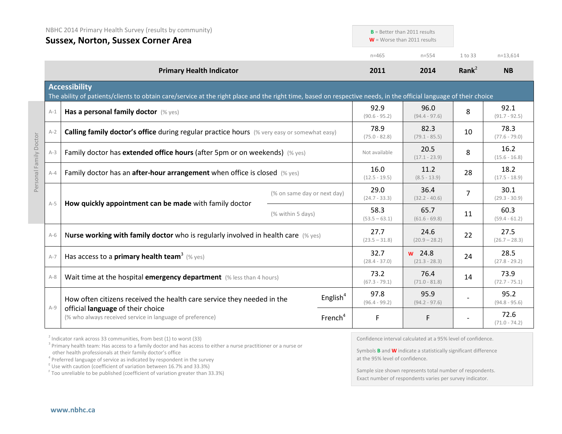|                        |         | NBHC 2014 Primary Health Survey (results by community)<br><b>Sussex, Norton, Sussex Corner Area</b>                                                                                       |                         |                         | $B =$ Better than 2011 results<br>$W =$ Worse than 2011 results |                         |                         |
|------------------------|---------|-------------------------------------------------------------------------------------------------------------------------------------------------------------------------------------------|-------------------------|-------------------------|-----------------------------------------------------------------|-------------------------|-------------------------|
|                        |         |                                                                                                                                                                                           |                         | $n = 465$               | $n = 5.54$                                                      | 1 to 33                 | $n=13,614$              |
|                        |         | <b>Primary Health Indicator</b>                                                                                                                                                           | 2011                    | 2014                    | Rank <sup>2</sup>                                               | <b>NB</b>               |                         |
|                        |         | <b>Accessibility</b><br>The ability of patients/clients to obtain care/service at the right place and the right time, based on respective needs, in the official language of their choice |                         |                         |                                                                 |                         |                         |
|                        | $A-1$   | Has a personal family doctor (% yes)                                                                                                                                                      |                         | 92.9<br>$(90.6 - 95.2)$ | 96.0<br>$(94.4 - 97.6)$                                         | 8                       | 92.1<br>$(91.7 - 92.5)$ |
|                        | $A-2$   | Calling family doctor's office during regular practice hours (% very easy or somewhat easy)                                                                                               |                         | 78.9<br>$(75.0 - 82.8)$ | 82.3<br>$(79.1 - 85.5)$                                         | 10                      | 78.3<br>$(77.6 - 79.0)$ |
|                        | $A-3$   | Family doctor has extended office hours (after 5pm or on weekends) (% yes)                                                                                                                |                         |                         | 20.5<br>$(17.1 - 23.9)$                                         | 8                       | 16.2<br>$(15.6 - 16.8)$ |
| Personal Family Doctor | $A - 4$ | Family doctor has an after-hour arrangement when office is closed (% yes)                                                                                                                 |                         | 16.0<br>$(12.5 - 19.5)$ | 11.2<br>$(8.5 - 13.9)$                                          | 28                      | 18.2<br>$(17.5 - 18.9)$ |
|                        |         | (% on same day or next day)                                                                                                                                                               | 29.0<br>$(24.7 - 33.3)$ | 36.4<br>$(32.2 - 40.6)$ | 7                                                               | 30.1<br>$(29.3 - 30.9)$ |                         |
|                        | $A-5$   | How quickly appointment can be made with family doctor<br>(% within 5 days)                                                                                                               |                         | 58.3<br>$(53.5 - 63.1)$ | 65.7<br>$(61.6 - 69.8)$                                         | 11                      | 60.3<br>$(59.4 - 61.2)$ |
|                        | $A-6$   | Nurse working with family doctor who is regularly involved in health care (% yes)                                                                                                         |                         |                         | 24.6<br>$(20.9 - 28.2)$                                         | 22                      | 27.5<br>$(26.7 - 28.3)$ |
|                        | $A-7$   | Has access to a <b>primary health team<sup>3</sup></b> (% yes)                                                                                                                            |                         | 32.7<br>$(28.4 - 37.0)$ | $w$ 24.8<br>$(21.3 - 28.3)$                                     | 24                      | 28.5<br>$(27.8 - 29.2)$ |
|                        | $A-8$   | Wait time at the hospital emergency department (% less than 4 hours)                                                                                                                      |                         | 73.2<br>$(67.3 - 79.1)$ | 76.4<br>$(71.0 - 81.8)$                                         | 14                      | 73.9<br>$(72.7 - 75.1)$ |
|                        | $A-9$   | How often citizens received the health care service they needed in the                                                                                                                    | English $4$             | 97.8<br>$(96.4 - 99.2)$ | 95.9<br>$(94.2 - 97.6)$                                         |                         | 95.2<br>$(94.8 - 95.6)$ |
|                        |         | official language of their choice<br>(% who always received service in language of preference)                                                                                            | French <sup>4</sup>     | F                       | F                                                               |                         | 72.6<br>$(71.0 - 74.2)$ |

 $2$  Indicator rank across 33 communities, from best (1) to worst (33)

<sup>3</sup> Primary health team: Has access to a family doctor and has access to either a nurse practitioner or a nurse or other health professionals at their family doctor's office

<sup>4</sup> Preferred language of service as indicated by respondent in the survey

 $E$  Use with caution (coefficient of variation between 16.7% and 33.3%)

<sup>F</sup> Too unreliable to be published (coefficient of variation greater than 33.3%)

Confidence interval calculated at a 95% level of confidence.

Symbols **B** and **W** indicate a statistically significant difference at the 95% level of confidence.

Sample size shown represents total number of respondents. Exact number of respondents varies per survey indicator.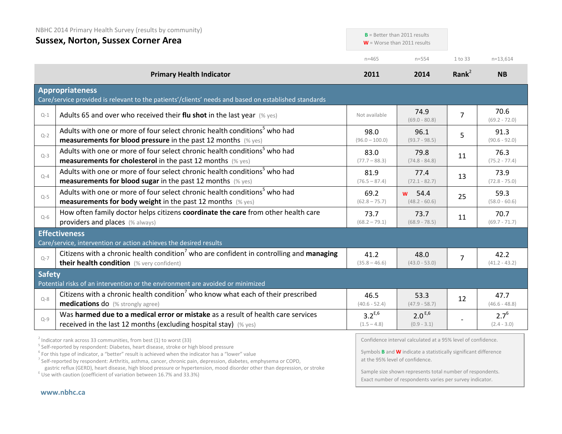|               | NBHC 2014 Primary Health Survey (results by community)                                                                                                                                                                                                                            |                              |                                                                                                                                                                                 |                |                            |
|---------------|-----------------------------------------------------------------------------------------------------------------------------------------------------------------------------------------------------------------------------------------------------------------------------------|------------------------------|---------------------------------------------------------------------------------------------------------------------------------------------------------------------------------|----------------|----------------------------|
|               | <b>Sussex, Norton, Sussex Corner Area</b>                                                                                                                                                                                                                                         |                              | $B =$ Better than 2011 results<br>$W =$ Worse than 2011 results                                                                                                                 |                |                            |
|               |                                                                                                                                                                                                                                                                                   | $n = 465$                    | $n = 554$                                                                                                                                                                       | 1 to 33        | $n=13,614$                 |
|               | <b>Primary Health Indicator</b>                                                                                                                                                                                                                                                   | 2011                         | 2014                                                                                                                                                                            | Rank $2$       | <b>NB</b>                  |
|               | <b>Appropriateness</b><br>Care/service provided is relevant to the patients'/clients' needs and based on established standards                                                                                                                                                    |                              |                                                                                                                                                                                 |                |                            |
| $Q-1$         | Adults 65 and over who received their flu shot in the last year $(\%$ yes)                                                                                                                                                                                                        | Not available                | 74.9<br>$(69.0 - 80.8)$                                                                                                                                                         | $\overline{7}$ | 70.6<br>$(69.2 - 72.0)$    |
| $Q - 2$       | Adults with one or more of four select chronic health conditions <sup>5</sup> who had<br>measurements for blood pressure in the past 12 months (% yes)                                                                                                                            | 98.0<br>$(96.0 - 100.0)$     | 96.1<br>$(93.7 - 98.5)$                                                                                                                                                         | 5              | 91.3<br>$(90.6 - 92.0)$    |
| $Q-3$         | Adults with one or more of four select chronic health conditions <sup>5</sup> who had<br><b>measurements for cholesterol</b> in the past 12 months (% yes)                                                                                                                        | 83.0<br>$(77.7 - 88.3)$      | 79.8<br>$(74.8 - 84.8)$                                                                                                                                                         | 11             | 76.3<br>$(75.2 - 77.4)$    |
| $Q-4$         | Adults with one or more of four select chronic health conditions <sup>5</sup> who had<br><b>measurements for blood sugar in the past 12 months</b> (% yes)                                                                                                                        | 81.9<br>$(76.5 - 87.4)$      | 77.4<br>$(72.1 - 82.7)$                                                                                                                                                         | 13             | 73.9<br>$(72.8 - 75.0)$    |
| $Q-5$         | Adults with one or more of four select chronic health conditions <sup>5</sup> who had<br><b>measurements for body weight</b> in the past 12 months $(\%$ yes)                                                                                                                     | 69.2<br>$(62.8 - 75.7)$      | 54.4<br><b>W</b><br>$(48.2 - 60.6)$                                                                                                                                             | 25             | 59.3<br>$(58.0 - 60.6)$    |
| $Q-6$         | How often family doctor helps citizens coordinate the care from other health care<br>providers and places (% always)                                                                                                                                                              | 73.7<br>$(68.2 - 79.1)$      | 73.7<br>$(68.9 - 78.5)$                                                                                                                                                         | 11             | 70.7<br>$(69.7 - 71.7)$    |
|               | <b>Effectiveness</b><br>Care/service, intervention or action achieves the desired results                                                                                                                                                                                         |                              |                                                                                                                                                                                 |                |                            |
| $Q-7$         | Citizens with a chronic health condition <sup>7</sup> who are confident in controlling and managing<br>their health condition (% very confident)                                                                                                                                  | 41.2<br>$(35.8 - 46.6)$      | 48.0<br>$(43.0 - 53.0)$                                                                                                                                                         | $\overline{7}$ | 42.2<br>$(41.2 - 43.2)$    |
| <b>Safety</b> | Potential risks of an intervention or the environment are avoided or minimized                                                                                                                                                                                                    |                              |                                                                                                                                                                                 |                |                            |
| $Q - 8$       | Citizens with a chronic health condition <sup>7</sup> who know what each of their prescribed<br><b>medications do</b> (% strongly agree)                                                                                                                                          | 46.5<br>$(40.6 - 52.4)$      | 53.3<br>$(47.9 - 58.7)$                                                                                                                                                         | 12             | 47.7<br>$(46.6 - 48.8)$    |
| $Q-9$         | Was harmed due to a medical error or mistake as a result of health care services<br>received in the last 12 months (excluding hospital stay) (% yes)                                                                                                                              | $3.2^{E,6}$<br>$(1.5 - 4.8)$ | $2.0^{E,6}$<br>$(0.9 - 3.1)$                                                                                                                                                    |                | $2.7^{6}$<br>$(2.4 - 3.0)$ |
|               | $2$ Indicator rank across 33 communities, from best (1) to worst (33)<br><sup>5</sup> Self-reported by respondent: Diabetes, heart disease, stroke or high blood pressure<br>$6$ For this type of indicator, a "better" result is achieved when the indicator has a "lower" value |                              | Confidence interval calculated at a 95% level of confidence.<br>Symbols <b>B</b> and <b>W</b> indicate a statistically significant difference<br>at the 95% level of confidence |                |                            |

<sup>7</sup> Self-reported by respondent: Arthritis, asthma, cancer, chronic pain, depression, diabetes, emphysema or COPD, gastric reflux (GERD), heart disease, high blood pressure or hypertension, mood disorder other than depression, or stroke E Use with caution (coefficient of variation between 16.7% and 33.3%)

at the 95% level of confidence.

Sample size shown represents total number of respondents. Exact number of respondents varies per survey indicator.

**[www.nbhc.ca](http://www.nbhc.ca/)**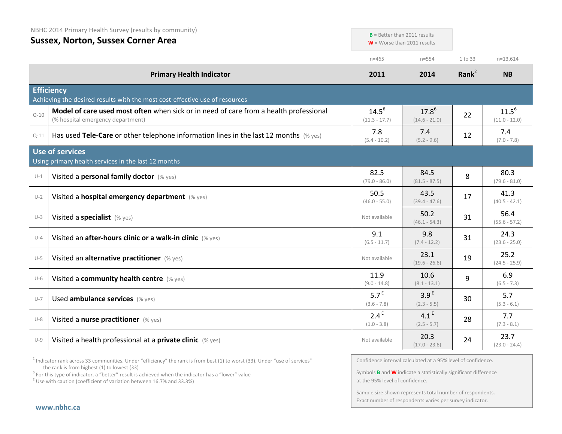| NBHC 2014 Primary Health Survey (results by community) |  |  |  |
|--------------------------------------------------------|--|--|--|
|--------------------------------------------------------|--|--|--|

## **Sussex, Norton, Sussex Corner Area**

|          | SUSSEX, INDITION, SUSSEX COTTIET ATEA<br>$W =$ Worse than 2011 results                                                     |                                   |                                   |          |                               |
|----------|----------------------------------------------------------------------------------------------------------------------------|-----------------------------------|-----------------------------------|----------|-------------------------------|
|          |                                                                                                                            | $n = 465$                         | $n = 554$                         | 1 to 33  | $n=13,614$                    |
|          | <b>Primary Health Indicator</b>                                                                                            | 2011                              | 2014                              | Rank $2$ | <b>NB</b>                     |
|          | <b>Efficiency</b><br>Achieving the desired results with the most cost-effective use of resources                           |                                   |                                   |          |                               |
| $Q - 10$ | Model of care used most often when sick or in need of care from a health professional<br>(% hospital emergency department) | $14.5^{6}$<br>$(11.3 - 17.7)$     | $17.8^{6}$<br>$(14.6 - 21.0)$     | 22       | $11.5^{6}$<br>$(11.0 - 12.0)$ |
| $Q-11$   | Has used Tele-Care or other telephone information lines in the last 12 months (% yes)                                      | 7.8<br>$(5.4 - 10.2)$             | 7.4<br>$(5.2 - 9.6)$              | 12       | 7.4<br>$(7.0 - 7.8)$          |
|          | <b>Use of services</b><br>Using primary health services in the last 12 months                                              |                                   |                                   |          |                               |
| $U-1$    | Visited a personal family doctor (% yes)                                                                                   | 82.5<br>$(79.0 - 86.0)$           | 84.5<br>$(81.5 - 87.5)$           | 8        | 80.3<br>$(79.6 - 81.0)$       |
| $U-2$    | Visited a hospital emergency department (% yes)                                                                            | 50.5<br>$(46.0 - 55.0)$           | 43.5<br>$(39.4 - 47.6)$           | 17       | 41.3<br>$(40.5 - 42.1)$       |
| $U-3$    | Visited a specialist (% yes)                                                                                               | Not available                     | 50.2<br>$(46.1 - 54.3)$           | 31       | 56.4<br>$(55.6 - 57.2)$       |
| $U-4$    | Visited an after-hours clinic or a walk-in clinic (% yes)                                                                  | 9.1<br>$(6.5 - 11.7)$             | 9.8<br>$(7.4 - 12.2)$             | 31       | 24.3<br>$(23.6 - 25.0)$       |
| $U-5$    | Visited an alternative practitioner (% yes)                                                                                | Not available                     | 23.1<br>$(19.6 - 26.6)$           | 19       | 25.2<br>$(24.5 - 25.9)$       |
| $U-6$    | Visited a community health centre (% yes)                                                                                  | 11.9<br>$(9.0 - 14.8)$            | 10.6<br>$(8.1 - 13.1)$            | 9        | 6.9<br>$(6.5 - 7.3)$          |
| $U - 7$  | Used ambulance services (% yes)                                                                                            | 5.7 <sup>E</sup><br>$(3.6 - 7.8)$ | 3.9 <sup>E</sup><br>$(2.3 - 5.5)$ | 30       | 5.7<br>$(5.3 - 6.1)$          |
| $U-8$    | Visited a nurse practitioner (% yes)                                                                                       | 2.4 <sup>E</sup><br>$(1.0 - 3.8)$ | 4.1 <sup>E</sup><br>$(2.5 - 5.7)$ | 28       | 7.7<br>$(7.3 - 8.1)$          |
| $U-9$    | Visited a health professional at a private clinic (% yes)                                                                  | Not available                     | 20.3<br>$(17.0 - 23.6)$           | 24       | 23.7<br>$(23.0 - 24.4)$       |

 $2$  Indicator rank across 33 communities. Under "efficiency" the rank is from best (1) to worst (33). Under "use of services" the rank is from highest (1) to lowest (33)

<sup>6</sup> For this type of indicator, a "better" result is achieved when the indicator has a "lower" value E Use with caution (coefficient of variation between 16.7% and 33.3%)

Confidence interval calculated at a 95% level of confidence.

**B** = Better than 2011 results

Symbols **B** and **W** indicate a statistically significant difference at the 95% level of confidence.

Sample size shown represents total number of respondents. Exact number of respondents varies per survey indicator.